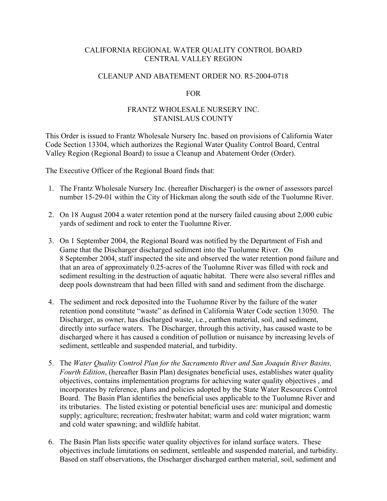# CALIFORNIA REGIONAL WATER QUALITY CONTROL BOARD CENTRAL VALLEY REGION

#### CLEANUP AND ABATEMENT ORDER NO. R5-2004-0718

## FOR

## FRANTZ WHOLESALE NURSERY INC. STANISLAUS COUNTY

This Order is issued to Frantz Wholesale Nursery Inc. based on provisions of California Water Code Section 13304, which authorizes the Regional Water Quality Control Board, Central Valley Region (Regional Board) to issue a Cleanup and Abatement Order (Order).

The Executive Officer of the Regional Board finds that:

- 1. The Frantz Wholesale Nursery Inc. (hereafter Discharger) is the owner of assessors parcel number 15-29-01 within the City of Hickman along the south side of the Tuolumne River.
- 2. On 18 August 2004 a water retention pond at the nursery failed causing about 2,000 cubic yards of sediment and rock to enter the Tuolumne River.
- 3. On 1 September 2004, the Regional Board was notified by the Department of Fish and Game that the Discharger discharged sediment into the Tuolumne River. On 8 September 2004, staff inspected the site and observed the water retention pond failure and that an area of approximately 0.25-acres of the Tuolumne River was filled with rock and sediment resulting in the destruction of aquatic habitat. There were also several riffles and deep pools downstream that had been filled with sand and sediment from the discharge.
- 4. The sediment and rock deposited into the Tuolumne River by the failure of the water retention pond constitute "waste" as defined in California Water Code section 13050. The Discharger, as owner, has discharged waste, i.e., earthen material, soil, and sediment, directly into surface waters. The Discharger, through this activity, has caused waste to be discharged where it has caused a condition of pollution or nuisance by increasing levels of sediment, settleable and suspended material, and turbidity.
- 5. The *Water Quality Control Plan for the Sacramento River and San Joaquin River Basins, Fourth Edition*, (hereafter Basin Plan) designates beneficial uses, establishes water quality objectives, contains implementation programs for achieving water quality objectives , and incorporates by reference, plans and policies adopted by the State Water Resources Control Board. The Basin Plan identifies the beneficial uses applicable to the Tuolumne River and its tributaries. The listed existing or potential beneficial uses are: municipal and domestic supply; agriculture; recreation; freshwater habitat; warm and cold water migration; warm and cold water spawning; and wildlife habitat.
- 6. The Basin Plan lists specific water quality objectives for inland surface waters. These objectives include limitations on sediment, settleable and suspended material, and turbidity. Based on staff observations, the Discharger discharged earthen material, soil, sediment and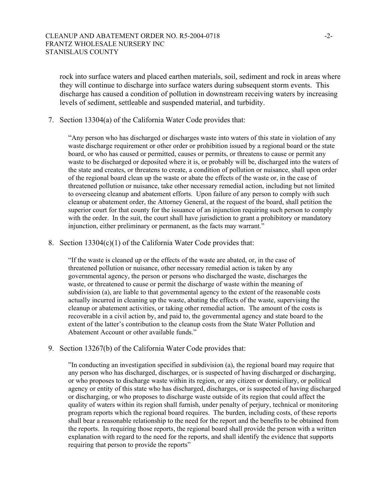rock into surface waters and placed earthen materials, soil, sediment and rock in areas where they will continue to discharge into surface waters during subsequent storm events. This discharge has caused a condition of pollution in downstream receiving waters by increasing levels of sediment, settleable and suspended material, and turbidity.

7. Section 13304(a) of the California Water Code provides that:

"Any person who has discharged or discharges waste into waters of this state in violation of any waste discharge requirement or other order or prohibition issued by a regional board or the state board, or who has caused or permitted, causes or permits, or threatens to cause or permit any waste to be discharged or deposited where it is, or probably will be, discharged into the waters of the state and creates, or threatens to create, a condition of pollution or nuisance, shall upon order of the regional board clean up the waste or abate the effects of the waste or, in the case of threatened pollution or nuisance, take other necessary remedial action, including but not limited to overseeing cleanup and abatement efforts. Upon failure of any person to comply with such cleanup or abatement order, the Attorney General, at the request of the board, shall petition the superior court for that county for the issuance of an injunction requiring such person to comply with the order. In the suit, the court shall have jurisdiction to grant a prohibitory or mandatory injunction, either preliminary or permanent, as the facts may warrant."

8. Section 13304(c)(1) of the California Water Code provides that:

"If the waste is cleaned up or the effects of the waste are abated, or, in the case of threatened pollution or nuisance, other necessary remedial action is taken by any governmental agency, the person or persons who discharged the waste, discharges the waste, or threatened to cause or permit the discharge of waste within the meaning of subdivision (a), are liable to that governmental agency to the extent of the reasonable costs actually incurred in cleaning up the waste, abating the effects of the waste, supervising the cleanup or abatement activities, or taking other remedial action. The amount of the costs is recoverable in a civil action by, and paid to, the governmental agency and state board to the extent of the latter's contribution to the cleanup costs from the State Water Pollution and Abatement Account or other available funds."

9. Section 13267(b) of the California Water Code provides that:

"In conducting an investigation specified in subdivision (a), the regional board may require that any person who has discharged, discharges, or is suspected of having discharged or discharging, or who proposes to discharge waste within its region, or any citizen or domiciliary, or political agency or entity of this state who has discharged, discharges, or is suspected of having discharged or discharging, or who proposes to discharge waste outside of its region that could affect the quality of waters within its region shall furnish, under penalty of perjury, technical or monitoring program reports which the regional board requires. The burden, including costs, of these reports shall bear a reasonable relationship to the need for the report and the benefits to be obtained from the reports. In requiring those reports, the regional board shall provide the person with a written explanation with regard to the need for the reports, and shall identify the evidence that supports requiring that person to provide the reports"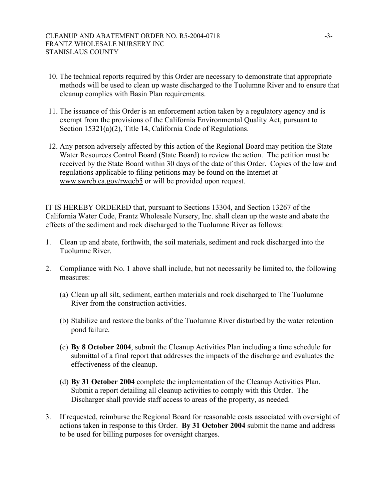- 10. The technical reports required by this Order are necessary to demonstrate that appropriate methods will be used to clean up waste discharged to the Tuolumne River and to ensure that cleanup complies with Basin Plan requirements.
- 11. The issuance of this Order is an enforcement action taken by a regulatory agency and is exempt from the provisions of the California Environmental Quality Act, pursuant to Section 15321(a)(2), Title 14, California Code of Regulations.
- 12. Any person adversely affected by this action of the Regional Board may petition the State Water Resources Control Board (State Board) to review the action. The petition must be received by the State Board within 30 days of the date of this Order. Copies of the law and regulations applicable to filing petitions may be found on the Internet at [www.swrcb.ca.gov/rwqcb5](http://www.swrcb.ca.gov/rwqcb5) or will be provided upon request.

IT IS HEREBY ORDERED that, pursuant to Sections 13304, and Section 13267 of the California Water Code, Frantz Wholesale Nursery, Inc. shall clean up the waste and abate the effects of the sediment and rock discharged to the Tuolumne River as follows:

- 1. Clean up and abate, forthwith, the soil materials, sediment and rock discharged into the Tuolumne River.
- 2. Compliance with No. 1 above shall include, but not necessarily be limited to, the following measures:
	- (a) Clean up all silt, sediment, earthen materials and rock discharged to The Tuolumne River from the construction activities.
	- (b) Stabilize and restore the banks of the Tuolumne River disturbed by the water retention pond failure.
	- (c) **By 8 October 2004**, submit the Cleanup Activities Plan including a time schedule for submittal of a final report that addresses the impacts of the discharge and evaluates the effectiveness of the cleanup.
	- (d) **By 31 October 2004** complete the implementation of the Cleanup Activities Plan. Submit a report detailing all cleanup activities to comply with this Order. The Discharger shall provide staff access to areas of the property, as needed.
- 3. If requested, reimburse the Regional Board for reasonable costs associated with oversight of actions taken in response to this Order. **By 31 October 2004** submit the name and address to be used for billing purposes for oversight charges.